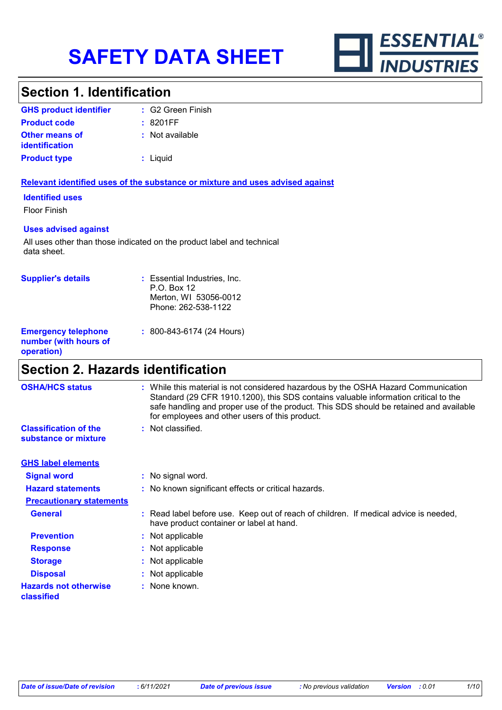

### **Section 1. Identification**

| <b>GHS product identifier</b>                  | : G2 Green Finish |
|------------------------------------------------|-------------------|
| <b>Product code</b>                            | : 8201FF          |
| <b>Other means of</b><br><b>identification</b> | : Not available   |
| <b>Product type</b>                            | : Liquid          |

#### **Relevant identified uses of the substance or mixture and uses advised against**

#### **Identified uses**

Floor Finish

#### **Uses advised against**

All uses other than those indicated on the product label and technical data sheet.

| <b>Supplier's details</b>                                         | : Essential Industries, Inc.<br>$P.O.$ Box 12<br>Merton, WI 53056-0012<br>Phone: 262-538-1122 |
|-------------------------------------------------------------------|-----------------------------------------------------------------------------------------------|
| <b>Emergency telephone</b><br>number (with hours of<br>operation) | : 800-843-6174 (24 Hours)                                                                     |

### **Section 2. Hazards identification**

| <b>OSHA/HCS status</b>                               | : While this material is not considered hazardous by the OSHA Hazard Communication<br>Standard (29 CFR 1910.1200), this SDS contains valuable information critical to the<br>safe handling and proper use of the product. This SDS should be retained and available<br>for employees and other users of this product. |
|------------------------------------------------------|-----------------------------------------------------------------------------------------------------------------------------------------------------------------------------------------------------------------------------------------------------------------------------------------------------------------------|
| <b>Classification of the</b><br>substance or mixture | : Not classified.                                                                                                                                                                                                                                                                                                     |
| <b>GHS label elements</b>                            |                                                                                                                                                                                                                                                                                                                       |
| <b>Signal word</b>                                   | : No signal word.                                                                                                                                                                                                                                                                                                     |
| <b>Hazard statements</b>                             | : No known significant effects or critical hazards.                                                                                                                                                                                                                                                                   |
| <b>Precautionary statements</b>                      |                                                                                                                                                                                                                                                                                                                       |
| <b>General</b>                                       | : Read label before use. Keep out of reach of children. If medical advice is needed,<br>have product container or label at hand.                                                                                                                                                                                      |
| <b>Prevention</b>                                    | : Not applicable                                                                                                                                                                                                                                                                                                      |
| <b>Response</b>                                      | : Not applicable                                                                                                                                                                                                                                                                                                      |
| <b>Storage</b>                                       | : Not applicable                                                                                                                                                                                                                                                                                                      |
| <b>Disposal</b>                                      | : Not applicable                                                                                                                                                                                                                                                                                                      |
| <b>Hazards not otherwise</b><br>classified           | : None known.                                                                                                                                                                                                                                                                                                         |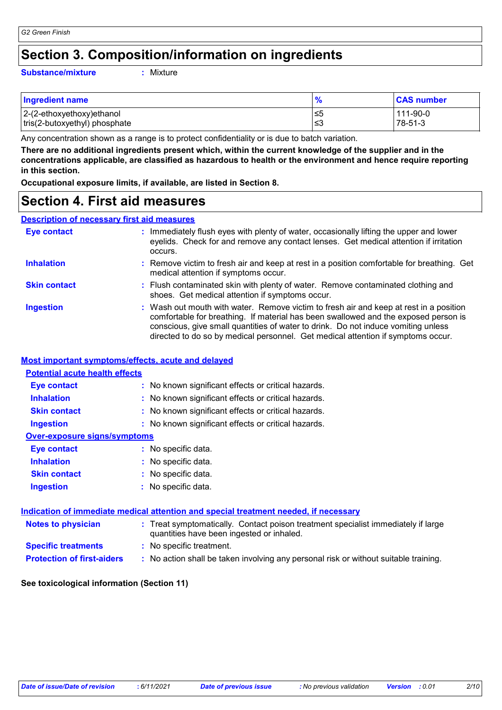### **Section 3. Composition/information on ingredients**

#### **Substance/mixture :**

Mixture

| <b>Ingredient name</b>        | $\bullet$ | <b>CAS number</b> |
|-------------------------------|-----------|-------------------|
| 2-(2-ethoxyethoxy)ethanol     | .≤5       | 111-90-0          |
| tris(2-butoxyethyl) phosphate | ≲3        | 78-51-3           |

Any concentration shown as a range is to protect confidentiality or is due to batch variation.

**There are no additional ingredients present which, within the current knowledge of the supplier and in the concentrations applicable, are classified as hazardous to health or the environment and hence require reporting in this section.**

**Occupational exposure limits, if available, are listed in Section 8.**

### **Section 4. First aid measures**

#### **Description of necessary first aid measures**

| <b>Eye contact</b>  | : Immediately flush eyes with plenty of water, occasionally lifting the upper and lower<br>eyelids. Check for and remove any contact lenses. Get medical attention if irritation<br>occurs.                                                                                                                                                            |
|---------------------|--------------------------------------------------------------------------------------------------------------------------------------------------------------------------------------------------------------------------------------------------------------------------------------------------------------------------------------------------------|
| <b>Inhalation</b>   | : Remove victim to fresh air and keep at rest in a position comfortable for breathing. Get<br>medical attention if symptoms occur.                                                                                                                                                                                                                     |
| <b>Skin contact</b> | : Flush contaminated skin with plenty of water. Remove contaminated clothing and<br>shoes. Get medical attention if symptoms occur.                                                                                                                                                                                                                    |
| <b>Ingestion</b>    | : Wash out mouth with water. Remove victim to fresh air and keep at rest in a position<br>comfortable for breathing. If material has been swallowed and the exposed person is<br>conscious, give small quantities of water to drink. Do not induce vomiting unless<br>directed to do so by medical personnel. Get medical attention if symptoms occur. |

#### **Most important symptoms/effects, acute and delayed**

| <b>Potential acute health effects</b> |                                                                                                                                |
|---------------------------------------|--------------------------------------------------------------------------------------------------------------------------------|
| <b>Eye contact</b>                    | : No known significant effects or critical hazards.                                                                            |
| <b>Inhalation</b>                     | : No known significant effects or critical hazards.                                                                            |
| <b>Skin contact</b>                   | : No known significant effects or critical hazards.                                                                            |
| <b>Ingestion</b>                      | : No known significant effects or critical hazards.                                                                            |
| <b>Over-exposure signs/symptoms</b>   |                                                                                                                                |
| <b>Eye contact</b>                    | : No specific data.                                                                                                            |
| <b>Inhalation</b>                     | : No specific data.                                                                                                            |
| <b>Skin contact</b>                   | : No specific data.                                                                                                            |
| <b>Ingestion</b>                      | : No specific data.                                                                                                            |
|                                       | <u>Indication of immediate medical attention and special treatment needed, if necessary</u>                                    |
| <b>Notes to physician</b>             | : Treat symptomatically. Contact poison treatment specialist immediately if large<br>quantities have been ingested or inhaled. |
| <b>Specific treatments</b>            | : No specific treatment.                                                                                                       |
| <b>Protection of first-aiders</b>     | : No action shall be taken involving any personal risk or without suitable training.                                           |

#### **See toxicological information (Section 11)**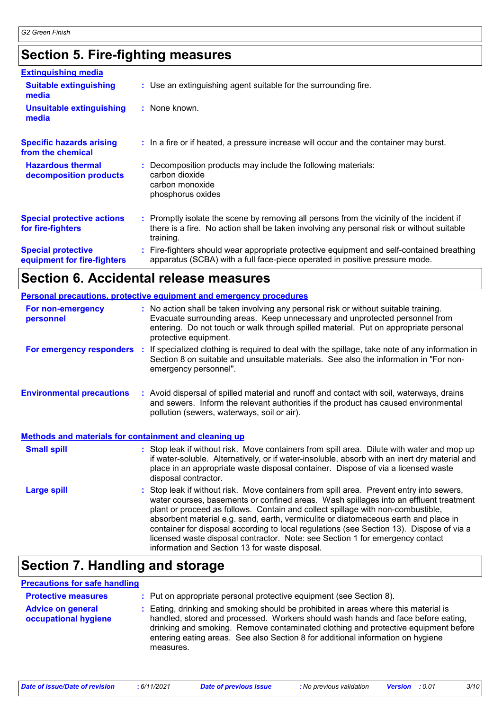# **Section 5. Fire-fighting measures**

| <b>Extinguishing media</b>                               |                                                                                                                                                                                                     |
|----------------------------------------------------------|-----------------------------------------------------------------------------------------------------------------------------------------------------------------------------------------------------|
| <b>Suitable extinguishing</b><br>media                   | : Use an extinguishing agent suitable for the surrounding fire.                                                                                                                                     |
| <b>Unsuitable extinguishing</b><br>media                 | : None known.                                                                                                                                                                                       |
| <b>Specific hazards arising</b><br>from the chemical     | : In a fire or if heated, a pressure increase will occur and the container may burst.                                                                                                               |
| <b>Hazardous thermal</b><br>decomposition products       | Decomposition products may include the following materials:<br>carbon dioxide<br>carbon monoxide<br>phosphorus oxides                                                                               |
| <b>Special protective actions</b><br>for fire-fighters   | : Promptly isolate the scene by removing all persons from the vicinity of the incident if<br>there is a fire. No action shall be taken involving any personal risk or without suitable<br>training. |
| <b>Special protective</b><br>equipment for fire-fighters | Fire-fighters should wear appropriate protective equipment and self-contained breathing<br>apparatus (SCBA) with a full face-piece operated in positive pressure mode.                              |

## **Section 6. Accidental release measures**

|                                                              | <b>Personal precautions, protective equipment and emergency procedures</b>                                                                                                                                                                                                                                                                                                                                                                                                                                                                                                                 |  |
|--------------------------------------------------------------|--------------------------------------------------------------------------------------------------------------------------------------------------------------------------------------------------------------------------------------------------------------------------------------------------------------------------------------------------------------------------------------------------------------------------------------------------------------------------------------------------------------------------------------------------------------------------------------------|--|
| For non-emergency<br>personnel                               | : No action shall be taken involving any personal risk or without suitable training.<br>Evacuate surrounding areas. Keep unnecessary and unprotected personnel from<br>entering. Do not touch or walk through spilled material. Put on appropriate personal<br>protective equipment.                                                                                                                                                                                                                                                                                                       |  |
| For emergency responders                                     | : If specialized clothing is required to deal with the spillage, take note of any information in<br>Section 8 on suitable and unsuitable materials. See also the information in "For non-<br>emergency personnel".                                                                                                                                                                                                                                                                                                                                                                         |  |
| <b>Environmental precautions</b>                             | : Avoid dispersal of spilled material and runoff and contact with soil, waterways, drains<br>and sewers. Inform the relevant authorities if the product has caused environmental<br>pollution (sewers, waterways, soil or air).                                                                                                                                                                                                                                                                                                                                                            |  |
| <b>Methods and materials for containment and cleaning up</b> |                                                                                                                                                                                                                                                                                                                                                                                                                                                                                                                                                                                            |  |
| <b>Small spill</b>                                           | : Stop leak if without risk. Move containers from spill area. Dilute with water and mop up<br>if water-soluble. Alternatively, or if water-insoluble, absorb with an inert dry material and<br>place in an appropriate waste disposal container. Dispose of via a licensed waste<br>disposal contractor.                                                                                                                                                                                                                                                                                   |  |
| <b>Large spill</b>                                           | : Stop leak if without risk. Move containers from spill area. Prevent entry into sewers,<br>water courses, basements or confined areas. Wash spillages into an effluent treatment<br>plant or proceed as follows. Contain and collect spillage with non-combustible,<br>absorbent material e.g. sand, earth, vermiculite or diatomaceous earth and place in<br>container for disposal according to local regulations (see Section 13). Dispose of via a<br>licensed waste disposal contractor. Note: see Section 1 for emergency contact<br>information and Section 13 for waste disposal. |  |

# **Section 7. Handling and storage**

#### **Precautions for safe handling**

| <b>Protective measures</b>                       | : Put on appropriate personal protective equipment (see Section 8).                                                                                                                                                                                                                                                                                           |
|--------------------------------------------------|---------------------------------------------------------------------------------------------------------------------------------------------------------------------------------------------------------------------------------------------------------------------------------------------------------------------------------------------------------------|
| <b>Advice on general</b><br>occupational hygiene | : Eating, drinking and smoking should be prohibited in areas where this material is<br>handled, stored and processed. Workers should wash hands and face before eating,<br>drinking and smoking. Remove contaminated clothing and protective equipment before<br>entering eating areas. See also Section 8 for additional information on hygiene<br>measures. |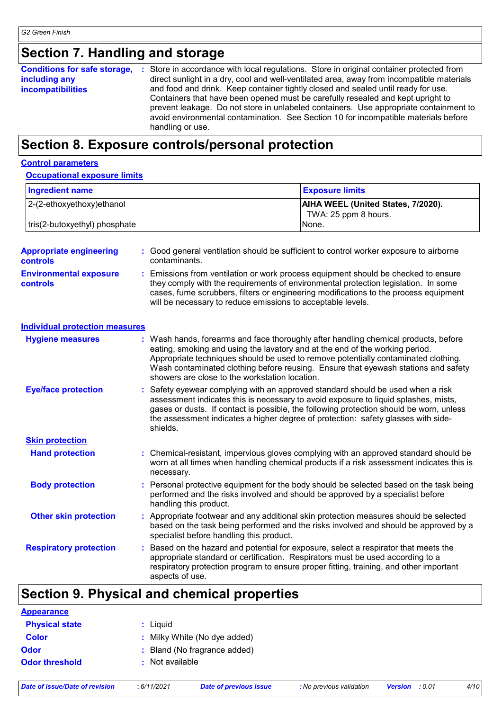# **Section 7. Handling and storage**

| Containers that have been opened must be carefully resealed and kept upright to<br>prevent leakage. Do not store in unlabeled containers. Use appropriate containment to<br>avoid environmental contamination. See Section 10 for incompatible materials before<br>handling or use. | <b>Conditions for safe storage,</b><br>including any<br><b>incompatibilities</b> | : Store in accordance with local regulations. Store in original container protected from<br>direct sunlight in a dry, cool and well-ventilated area, away from incompatible materials<br>and food and drink. Keep container tightly closed and sealed until ready for use. |
|-------------------------------------------------------------------------------------------------------------------------------------------------------------------------------------------------------------------------------------------------------------------------------------|----------------------------------------------------------------------------------|----------------------------------------------------------------------------------------------------------------------------------------------------------------------------------------------------------------------------------------------------------------------------|
|-------------------------------------------------------------------------------------------------------------------------------------------------------------------------------------------------------------------------------------------------------------------------------------|----------------------------------------------------------------------------------|----------------------------------------------------------------------------------------------------------------------------------------------------------------------------------------------------------------------------------------------------------------------------|

### **Section 8. Exposure controls/personal protection**

#### **Control parameters**

#### **Occupational exposure limits**

| Ingredient name               | <b>Exposure limits</b>                                            |
|-------------------------------|-------------------------------------------------------------------|
| 2-(2-ethoxyethoxy) ethanol    | <b>AIHA WEEL (United States, 7/2020).</b><br>TWA: 25 ppm 8 hours. |
| tris(2-butoxyethyl) phosphate | INone.                                                            |

| <b>Appropriate engineering</b><br><b>controls</b> |   | : Good general ventilation should be sufficient to control worker exposure to airborne<br>contaminants.                                                                                                                                                                                                                                                                                           |
|---------------------------------------------------|---|---------------------------------------------------------------------------------------------------------------------------------------------------------------------------------------------------------------------------------------------------------------------------------------------------------------------------------------------------------------------------------------------------|
| <b>Environmental exposure</b><br><b>controls</b>  |   | Emissions from ventilation or work process equipment should be checked to ensure<br>they comply with the requirements of environmental protection legislation. In some<br>cases, fume scrubbers, filters or engineering modifications to the process equipment<br>will be necessary to reduce emissions to acceptable levels.                                                                     |
| <b>Individual protection measures</b>             |   |                                                                                                                                                                                                                                                                                                                                                                                                   |
| <b>Hygiene measures</b>                           |   | : Wash hands, forearms and face thoroughly after handling chemical products, before<br>eating, smoking and using the lavatory and at the end of the working period.<br>Appropriate techniques should be used to remove potentially contaminated clothing.<br>Wash contaminated clothing before reusing. Ensure that eyewash stations and safety<br>showers are close to the workstation location. |
| <b>Eye/face protection</b>                        |   | Safety eyewear complying with an approved standard should be used when a risk<br>assessment indicates this is necessary to avoid exposure to liquid splashes, mists,<br>gases or dusts. If contact is possible, the following protection should be worn, unless<br>the assessment indicates a higher degree of protection: safety glasses with side-<br>shields.                                  |
| <b>Skin protection</b>                            |   |                                                                                                                                                                                                                                                                                                                                                                                                   |
| <b>Hand protection</b>                            |   | : Chemical-resistant, impervious gloves complying with an approved standard should be<br>worn at all times when handling chemical products if a risk assessment indicates this is<br>necessary.                                                                                                                                                                                                   |
| <b>Body protection</b>                            |   | Personal protective equipment for the body should be selected based on the task being<br>performed and the risks involved and should be approved by a specialist before<br>handling this product.                                                                                                                                                                                                 |
| <b>Other skin protection</b>                      |   | : Appropriate footwear and any additional skin protection measures should be selected<br>based on the task being performed and the risks involved and should be approved by a<br>specialist before handling this product.                                                                                                                                                                         |
| <b>Respiratory protection</b>                     | ÷ | Based on the hazard and potential for exposure, select a respirator that meets the<br>appropriate standard or certification. Respirators must be used according to a<br>respiratory protection program to ensure proper fitting, training, and other important<br>aspects of use.                                                                                                                 |

# **Section 9. Physical and chemical properties**

| <b>Appearance</b>     |                              |
|-----------------------|------------------------------|
| <b>Physical state</b> | : Liquid                     |
| <b>Color</b>          | : Milky White (No dye added) |
| <b>Odor</b>           | : Bland (No fragrance added) |
| <b>Odor threshold</b> | : Not available              |
|                       |                              |

*Date of issue/Date of revision* **:** *6/11/2021 Date of previous issue : No previous validation Version : 0.01 4/10*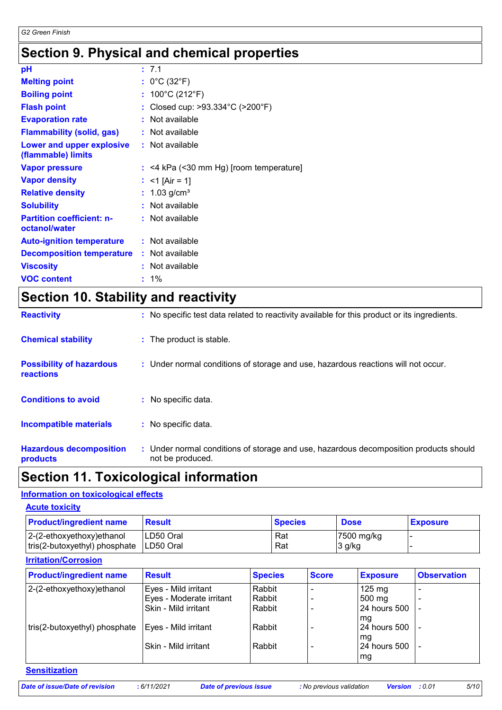# **Section 9. Physical and chemical properties**

| рH                                                |    | : 7.1                                 |
|---------------------------------------------------|----|---------------------------------------|
| <b>Melting point</b>                              |    | : $0^{\circ}$ C (32 $^{\circ}$ F)     |
| <b>Boiling point</b>                              | t. | 100°C (212°F)                         |
| <b>Flash point</b>                                |    | Closed cup: >93.334°C (>200°F)        |
| <b>Evaporation rate</b>                           |    | Not available                         |
| <b>Flammability (solid, gas)</b>                  |    | : Not available                       |
| Lower and upper explosive<br>(flammable) limits   |    | : Not available                       |
| <b>Vapor pressure</b>                             | t. | <4 kPa (<30 mm Hg) [room temperature] |
| <b>Vapor density</b>                              | ÷. | $<$ 1 [Air = 1]                       |
| <b>Relative density</b>                           |    | $1.03$ g/cm <sup>3</sup>              |
| <b>Solubility</b>                                 |    | Not available                         |
| <b>Partition coefficient: n-</b><br>octanol/water |    | : Not available                       |
| <b>Auto-ignition temperature</b>                  |    | : Not available                       |
| <b>Decomposition temperature</b>                  |    | : Not available                       |
| <b>Viscosity</b>                                  |    | Not available                         |
| <b>VOC content</b>                                |    | 1%                                    |

# **Section 10. Stability and reactivity**

| <b>Hazardous decomposition</b><br>products          | : Under normal conditions of storage and use, hazardous decomposition products should<br>not be produced. |
|-----------------------------------------------------|-----------------------------------------------------------------------------------------------------------|
| <b>Incompatible materials</b>                       | : No specific data.                                                                                       |
| <b>Conditions to avoid</b>                          | : No specific data.                                                                                       |
| <b>Possibility of hazardous</b><br><b>reactions</b> | : Under normal conditions of storage and use, hazardous reactions will not occur.                         |
| <b>Chemical stability</b>                           | : The product is stable.                                                                                  |
| <b>Reactivity</b>                                   | : No specific test data related to reactivity available for this product or its ingredients.              |

### **Section 11. Toxicological information**

#### **Information on toxicological effects**

| <b>Acute toxicity</b>                                         |                        |                |                                    |                 |  |
|---------------------------------------------------------------|------------------------|----------------|------------------------------------|-----------------|--|
| <b>Product/ingredient name</b>                                | <b>Result</b>          | <b>Species</b> | <b>Dose</b>                        | <b>Exposure</b> |  |
| $ 2-(2-ethoxyethoxy)ethanol$<br>tris(2-butoxyethyl) phosphate | LD50 Oral<br>LD50 Oral | Rat<br>Rat     | $ 7500 \text{ mg/kg} $<br>$3$ g/kg |                 |  |

### **Irritation/Corrosion**

| <b>Product/ingredient name</b> | <b>Result</b>            | <b>Species</b> | <b>Score</b> | <b>Exposure</b>     | <b>Observation</b> |
|--------------------------------|--------------------------|----------------|--------------|---------------------|--------------------|
| 2-(2-ethoxyethoxy)ethanol      | Eyes - Mild irritant     | Rabbit         |              | $125 \text{ mg}$    |                    |
|                                | Eyes - Moderate irritant | Rabbit         |              | $500 \text{ mg}$    | ۰                  |
|                                | Skin - Mild irritant     | Rabbit         |              | 24 hours 500        |                    |
|                                |                          |                |              | l mg                |                    |
| tris(2-butoxyethyl) phosphate  | Eyes - Mild irritant     | Rabbit         |              | <b>24 hours 500</b> |                    |
|                                |                          |                |              | l ma                |                    |
|                                | Skin - Mild irritant     | Rabbit         |              | 24 hours 500        |                    |
|                                |                          |                |              | mg                  |                    |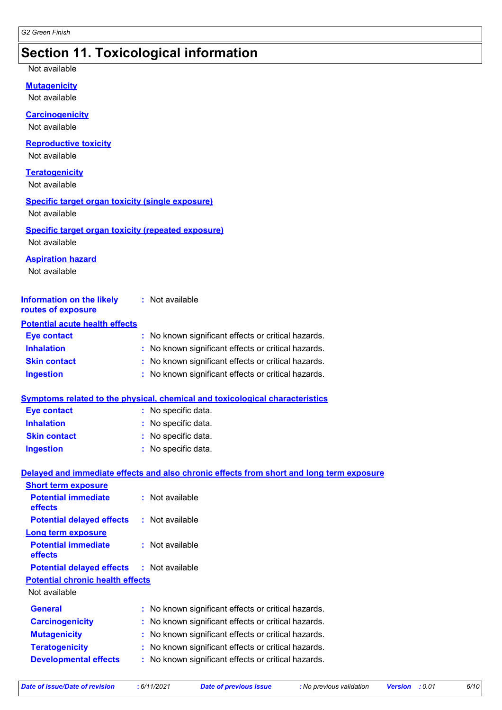## **Section 11. Toxicological information**

Not available

**Mutagenicity**

Not available

#### **Carcinogenicity**

Not available

#### **Reproductive toxicity**

Not available

#### **Teratogenicity**

Not available

#### **Specific target organ toxicity (single exposure)**

Not available

#### **Specific target organ toxicity (repeated exposure)** Not available

#### **Aspiration hazard**

Not available

| <b>Information on the likely</b><br>routes of exposure | : Not available                                     |
|--------------------------------------------------------|-----------------------------------------------------|
| <b>Potential acute health effects</b>                  |                                                     |
| <b>Eye contact</b>                                     | : No known significant effects or critical hazards. |
| <b>Inhalation</b>                                      | : No known significant effects or critical hazards. |
| <b>Skin contact</b>                                    | : No known significant effects or critical hazards. |
| <b>Ingestion</b>                                       | : No known significant effects or critical hazards. |

#### **Symptoms related to the physical, chemical and toxicological characteristics**

| <b>Eye contact</b>  | : No specific data. |
|---------------------|---------------------|
| <b>Inhalation</b>   | : No specific data. |
| <b>Skin contact</b> | : No specific data. |
| <b>Ingestion</b>    | : No specific data. |

#### **Delayed and immediate effects and also chronic effects from short and long term exposure**

| <b>Short term exposure</b>                       |                                                     |
|--------------------------------------------------|-----------------------------------------------------|
| <b>Potential immediate</b><br>effects            | : Not available                                     |
| <b>Potential delayed effects</b>                 | : Not available                                     |
| <b>Long term exposure</b>                        |                                                     |
| <b>Potential immediate</b><br>effects            | $:$ Not available                                   |
| <b>Potential delayed effects : Not available</b> |                                                     |
| <b>Potential chronic health effects</b>          |                                                     |
| Not available                                    |                                                     |
| <b>General</b>                                   | : No known significant effects or critical hazards. |
| <b>Carcinogenicity</b>                           | : No known significant effects or critical hazards. |
| <b>Mutagenicity</b>                              | : No known significant effects or critical hazards. |
| <b>Teratogenicity</b>                            | : No known significant effects or critical hazards. |
| <b>Developmental effects</b>                     | : No known significant effects or critical hazards. |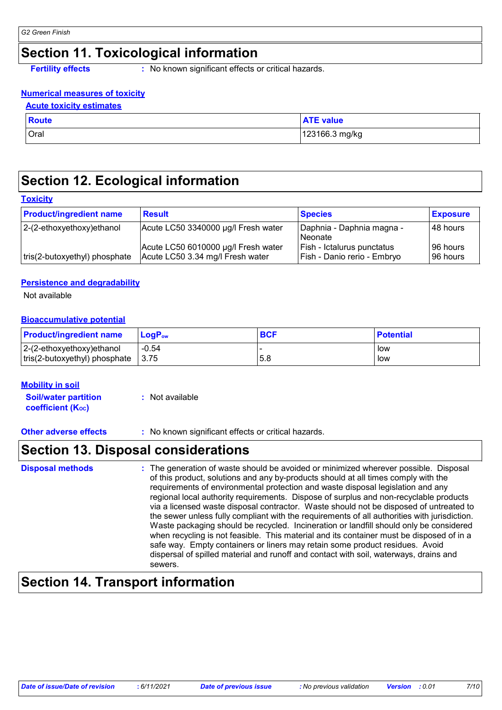# **Section 11. Toxicological information**

**Fertility effects** : No known significant effects or critical hazards.

#### **Numerical measures of toxicity**

| <b>Acute toxicity estimates</b> |
|---------------------------------|
|---------------------------------|

| <b>Route</b> | <b>ATE value</b> |
|--------------|------------------|
| Oral         | 123166.3 mg/kg   |

### **Section 12. Ecological information**

#### **Toxicity**

| <b>Product/ingredient name</b> | <b>Result</b>                                                           | <b>Species</b>                                                   | <b>Exposure</b>        |
|--------------------------------|-------------------------------------------------------------------------|------------------------------------------------------------------|------------------------|
| 2-(2-ethoxyethoxy)ethanol      | Acute LC50 3340000 µg/l Fresh water                                     | Daphnia - Daphnia magna -<br>l Neonate                           | 48 hours               |
| tris(2-butoxyethyl) phosphate  | Acute LC50 6010000 µg/l Fresh water<br>Acute LC50 3.34 mg/l Fresh water | <b>Fish - Ictalurus punctatus</b><br>Fish - Danio rerio - Embryo | 196 hours<br>196 hours |

#### **Persistence and degradability**

Not available

#### **Bioaccumulative potential**

| <b>Product/ingredient name</b> | <b>LogP</b> <sub>ow</sub> | <b>BCF</b> | <b>Potential</b> |
|--------------------------------|---------------------------|------------|------------------|
| $ 2-(2-ethoxyethoxy)ethanol$   | $-0.54$                   |            | low              |
| tris(2-butoxyethyl) phosphate  | 3.75                      | 5.8        | low              |

#### **Mobility in soil**

**Soil/water partition coefficient (KOC) :** Not available

**Other adverse effects** : No known significant effects or critical hazards.

### **Section 13. Disposal considerations**

| <b>Disposal methods</b> | : The generation of waste should be avoided or minimized wherever possible. Disposal<br>of this product, solutions and any by-products should at all times comply with the<br>requirements of environmental protection and waste disposal legislation and any<br>regional local authority requirements. Dispose of surplus and non-recyclable products<br>via a licensed waste disposal contractor. Waste should not be disposed of untreated to<br>the sewer unless fully compliant with the requirements of all authorities with jurisdiction.<br>Waste packaging should be recycled. Incineration or landfill should only be considered<br>when recycling is not feasible. This material and its container must be disposed of in a<br>safe way. Empty containers or liners may retain some product residues. Avoid<br>dispersal of spilled material and runoff and contact with soil, waterways, drains and<br>sewers. |
|-------------------------|----------------------------------------------------------------------------------------------------------------------------------------------------------------------------------------------------------------------------------------------------------------------------------------------------------------------------------------------------------------------------------------------------------------------------------------------------------------------------------------------------------------------------------------------------------------------------------------------------------------------------------------------------------------------------------------------------------------------------------------------------------------------------------------------------------------------------------------------------------------------------------------------------------------------------|
|-------------------------|----------------------------------------------------------------------------------------------------------------------------------------------------------------------------------------------------------------------------------------------------------------------------------------------------------------------------------------------------------------------------------------------------------------------------------------------------------------------------------------------------------------------------------------------------------------------------------------------------------------------------------------------------------------------------------------------------------------------------------------------------------------------------------------------------------------------------------------------------------------------------------------------------------------------------|

### **Section 14. Transport information**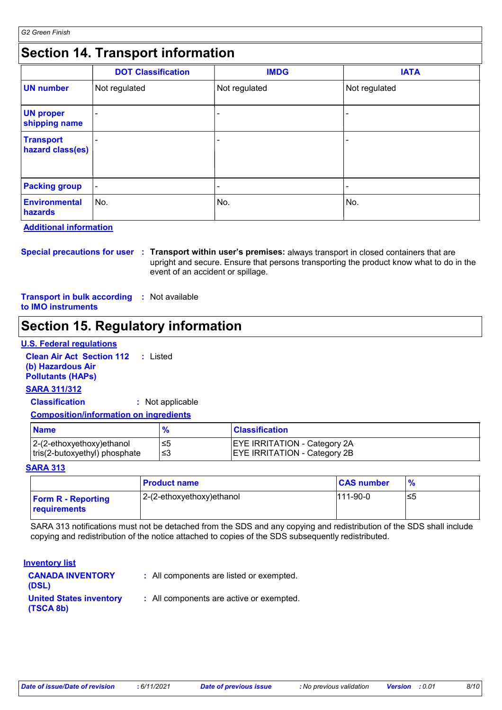## **Section 14. Transport information**

|                                      | <b>DOT Classification</b> | <b>IMDG</b>   | <b>IATA</b>   |
|--------------------------------------|---------------------------|---------------|---------------|
| <b>UN number</b>                     | Not regulated             | Not regulated | Not regulated |
| <b>UN proper</b><br>shipping name    | ۰                         |               | ۰             |
| <b>Transport</b><br>hazard class(es) |                           |               |               |
| <b>Packing group</b>                 | $\blacksquare$            | -             |               |
| <b>Environmental</b><br>hazards      | ∣No.                      | No.           | ∣No.          |

**Additional information**

**Special precautions for user Transport within user's premises:** always transport in closed containers that are **:** upright and secure. Ensure that persons transporting the product know what to do in the event of an accident or spillage.

**Transport in bulk according :** Not available **to IMO instruments**

# **Section 15. Regulatory information**

#### **U.S. Federal regulations**

**Clean Air Act Section 112 :** Listed **(b) Hazardous Air Pollutants (HAPs)**

#### **SARA 311/312**

**Classification :** Not applicable

#### **Composition/information on ingredients**

| <b>Name</b>                                                    |      | <b>Classification</b>                                                      |
|----------------------------------------------------------------|------|----------------------------------------------------------------------------|
| $ 2-(2-ethoxyethoxy)e$ thanol<br>tris(2-butoxyethyl) phosphate | ' ≤3 | <b>EYE IRRITATION - Category 2A</b><br><b>EYE IRRITATION - Category 2B</b> |

#### **SARA 313**

|                                           | <b>Product name</b>       | <b>CAS number</b> | $\frac{9}{6}$ |
|-------------------------------------------|---------------------------|-------------------|---------------|
| <b>Form R - Reporting</b><br>requirements | 2-(2-ethoxyethoxy)ethanol | $111-90-0$        | ′≤5           |

SARA 313 notifications must not be detached from the SDS and any copying and redistribution of the SDS shall include copying and redistribution of the notice attached to copies of the SDS subsequently redistributed.

#### **Inventory list**

| <b>CANADA INVENTORY</b><br>(DSL)            | : All components are listed or exempted. |
|---------------------------------------------|------------------------------------------|
| <b>United States inventory</b><br>(TSCA 8b) | : All components are active or exempted. |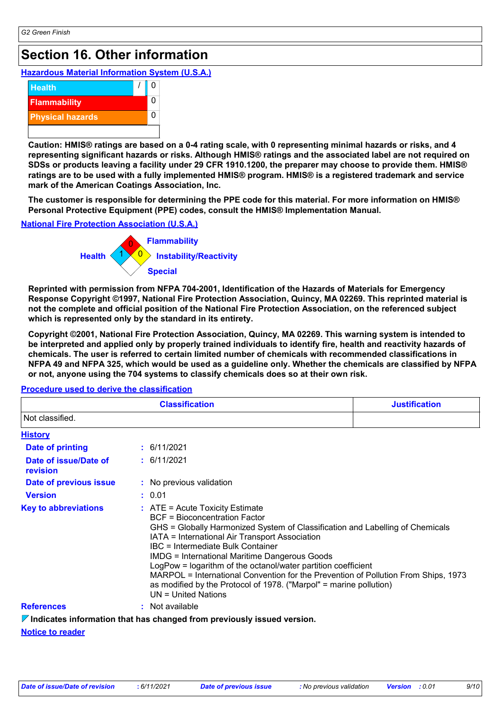# **Section 16. Other information**

### **Hazardous Material Information System (U.S.A.)**



**Caution: HMIS® ratings are based on a 0-4 rating scale, with 0 representing minimal hazards or risks, and 4 representing significant hazards or risks. Although HMIS® ratings and the associated label are not required on SDSs or products leaving a facility under 29 CFR 1910.1200, the preparer may choose to provide them. HMIS® ratings are to be used with a fully implemented HMIS® program. HMIS® is a registered trademark and service mark of the American Coatings Association, Inc.**

**The customer is responsible for determining the PPE code for this material. For more information on HMIS® Personal Protective Equipment (PPE) codes, consult the HMIS® Implementation Manual.**

#### **National Fire Protection Association (U.S.A.)**



**Reprinted with permission from NFPA 704-2001, Identification of the Hazards of Materials for Emergency Response Copyright ©1997, National Fire Protection Association, Quincy, MA 02269. This reprinted material is not the complete and official position of the National Fire Protection Association, on the referenced subject which is represented only by the standard in its entirety.**

**Copyright ©2001, National Fire Protection Association, Quincy, MA 02269. This warning system is intended to be interpreted and applied only by properly trained individuals to identify fire, health and reactivity hazards of chemicals. The user is referred to certain limited number of chemicals with recommended classifications in NFPA 49 and NFPA 325, which would be used as a guideline only. Whether the chemicals are classified by NFPA or not, anyone using the 704 systems to classify chemicals does so at their own risk.**

| <b>Classification</b>                    |                                                                                                                                                                                                                                                                                                                                                                                                                                                                                                                                                                   | <b>Justification</b> |
|------------------------------------------|-------------------------------------------------------------------------------------------------------------------------------------------------------------------------------------------------------------------------------------------------------------------------------------------------------------------------------------------------------------------------------------------------------------------------------------------------------------------------------------------------------------------------------------------------------------------|----------------------|
| Not classified.                          |                                                                                                                                                                                                                                                                                                                                                                                                                                                                                                                                                                   |                      |
| <b>History</b>                           |                                                                                                                                                                                                                                                                                                                                                                                                                                                                                                                                                                   |                      |
| <b>Date of printing</b>                  | : 6/11/2021                                                                                                                                                                                                                                                                                                                                                                                                                                                                                                                                                       |                      |
| Date of issue/Date of<br><b>revision</b> | : 6/11/2021                                                                                                                                                                                                                                                                                                                                                                                                                                                                                                                                                       |                      |
| Date of previous issue                   | : No previous validation                                                                                                                                                                                                                                                                                                                                                                                                                                                                                                                                          |                      |
| <b>Version</b>                           | : 0.01                                                                                                                                                                                                                                                                                                                                                                                                                                                                                                                                                            |                      |
| <b>Key to abbreviations</b>              | $\therefore$ ATE = Acute Toxicity Estimate<br>BCF = Bioconcentration Factor<br>GHS = Globally Harmonized System of Classification and Labelling of Chemicals<br>IATA = International Air Transport Association<br>IBC = Intermediate Bulk Container<br><b>IMDG</b> = International Maritime Dangerous Goods<br>LogPow = logarithm of the octanol/water partition coefficient<br>MARPOL = International Convention for the Prevention of Pollution From Ships, 1973<br>as modified by the Protocol of 1978. ("Marpol" = marine pollution)<br>$UN = United Nations$ |                      |
| <b>References</b>                        | : Not available                                                                                                                                                                                                                                                                                                                                                                                                                                                                                                                                                   |                      |
|                                          | $\nabla$ Indicates information that has changed from previously issued version.                                                                                                                                                                                                                                                                                                                                                                                                                                                                                   |                      |

#### **Procedure used to derive the classification**

**Indicates information that has changed from previously issued version.**

#### **Notice to reader**